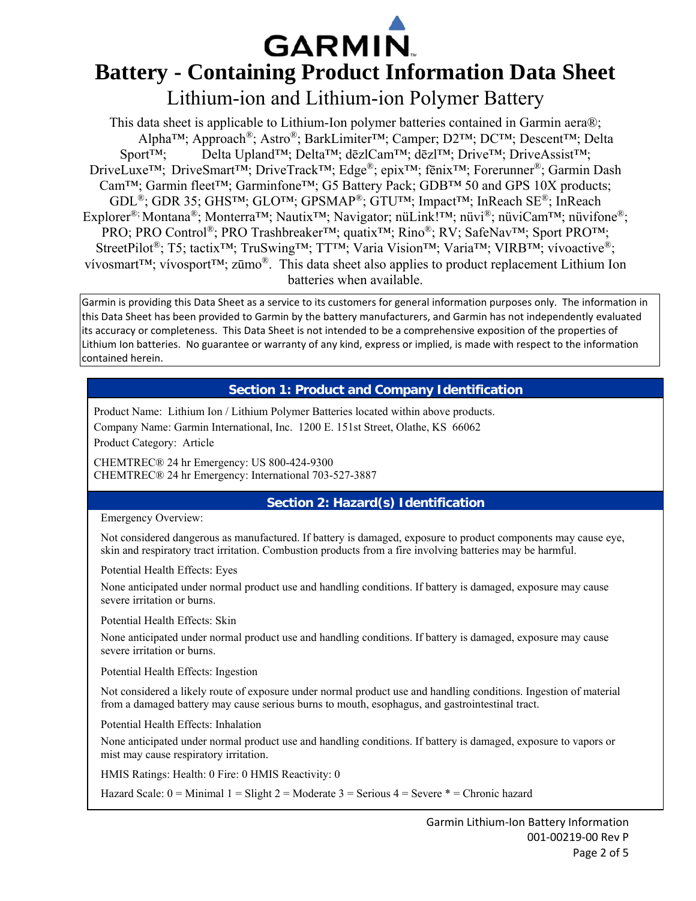

# **Battery - Containing Product Information Data Sheet**

# Lithium-ion and Lithium-ion Polymer Battery

This data sheet is applicable to Lithium-Ion polymer batteries contained in Garmin aera®; Alpha™; Approach®; Astro®; BarkLimiter™; Camper; D2™; DC™; Descent™; Delta Sport™; Delta Upland™; Delta™; dēzlCam™; dēzl™; Drive™; DriveAssist™; DriveLuxe™; DriveSmart™; DriveTrack™; Edge®; epix™; fēnix™; Forerunner®; Garmin Dash Cam™; Garmin fleet™; Garminfone™; G5 Battery Pack; GDB™ 50 and GPS 10X products; GDL®; GDR 35; GHS™; GLO™; GPSMAP®; GTU™; Impact™; InReach SE®; InReach Explorer®; Montana®; Monterra™; Nautix™; Navigator; nüLink!™; nüvi®; nüviCam™; nüvifone®; PRO; PRO Control®; PRO Trashbreaker™; quatix™; Rino®; RV; SafeNav™; Sport PRO™; StreetPilot®; T5; tactix™; TruSwing™; TT™; Varia Vision™; Varia™; VIRB™; vívoactive®; vívosmart™; vívosport™; zūmo®. This data sheet also applies to product replacement Lithium Ion batteries when available.

Garmin is providing this Data Sheet as a service to its customers for general information purposes only. The information in this Data Sheet has been provided to Garmin by the battery manufacturers, and Garmin has not independently evaluated its accuracy or completeness. This Data Sheet is not intended to be a comprehensive exposition of the properties of Lithium Ion batteries. No guarantee or warranty of any kind, express or implied, is made with respect to the information contained herein.

# **Section 1: Product and Company Identification**

Product Name: Lithium Ion / Lithium Polymer Batteries located within above products. Company Name: Garmin International, Inc. 1200 E. 151st Street, Olathe, KS 66062 Product Category: Article

CHEMTREC® 24 hr Emergency: US 800-424-9300 CHEMTREC® 24 hr Emergency: International 703-527-3887

# **Section 2: Hazard(s) Identification**

#### Emergency Overview:

Not considered dangerous as manufactured. If battery is damaged, exposure to product components may cause eye, skin and respiratory tract irritation. Combustion products from a fire involving batteries may be harmful.

Potential Health Effects: Eyes

None anticipated under normal product use and handling conditions. If battery is damaged, exposure may cause severe irritation or burns.

Potential Health Effects: Skin

None anticipated under normal product use and handling conditions. If battery is damaged, exposure may cause severe irritation or burns.

Potential Health Effects: Ingestion

Not considered a likely route of exposure under normal product use and handling conditions. Ingestion of material from a damaged battery may cause serious burns to mouth, esophagus, and gastrointestinal tract.

Potential Health Effects: Inhalation

None anticipated under normal product use and handling conditions. If battery is damaged, exposure to vapors or mist may cause respiratory irritation.

HMIS Ratings: Health: 0 Fire: 0 HMIS Reactivity: 0

Hazard Scale:  $0 =$  Minimal  $1 =$  Slight  $2 =$  Moderate  $3 =$  Serious  $4 =$  Severe  $* =$  Chronic hazard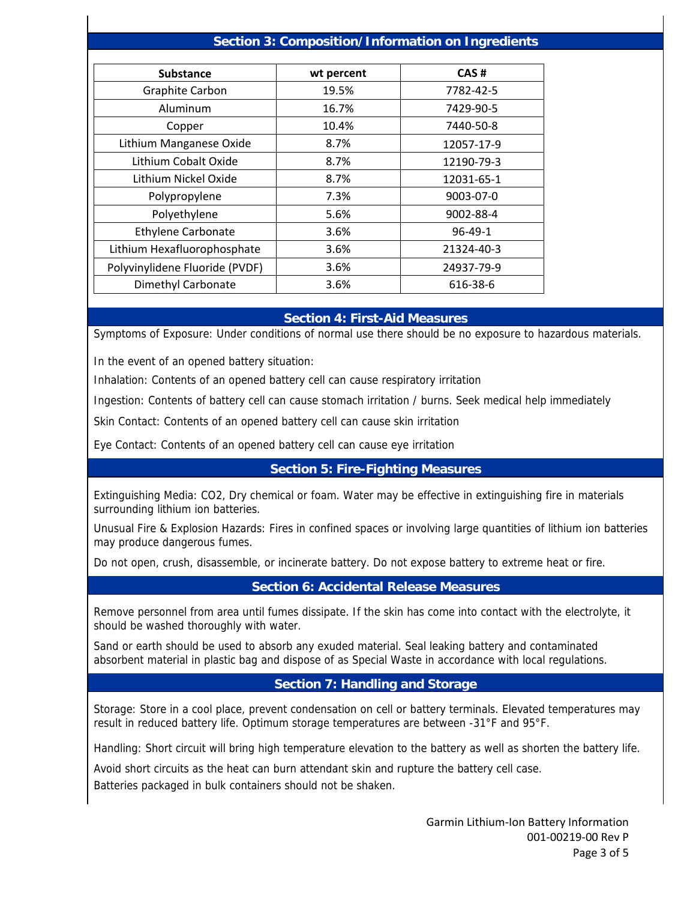#### **Section 3: Composition/Information on Ingredients**

| <b>Substance</b>               | wt percent | CAS#          |
|--------------------------------|------------|---------------|
| Graphite Carbon                | 19.5%      | 7782-42-5     |
| Aluminum                       | 16.7%      | 7429-90-5     |
| Copper                         | 10.4%      | 7440-50-8     |
| Lithium Manganese Oxide        | 8.7%       | 12057-17-9    |
| Lithium Cobalt Oxide           | 8.7%       | 12190-79-3    |
| Lithium Nickel Oxide           | 8.7%       | 12031-65-1    |
| Polypropylene                  | 7.3%       | 9003-07-0     |
| Polyethylene                   | 5.6%       | 9002-88-4     |
| Ethylene Carbonate             | 3.6%       | $96 - 49 - 1$ |
| Lithium Hexafluorophosphate    | 3.6%       | 21324-40-3    |
| Polyvinylidene Fluoride (PVDF) | 3.6%       | 24937-79-9    |
| Dimethyl Carbonate             | 3.6%       | 616-38-6      |

#### **Section 4: First-Aid Measures**

Symptoms of Exposure: Under conditions of normal use there should be no exposure to hazardous materials.

In the event of an opened battery situation:

Inhalation: Contents of an opened battery cell can cause respiratory irritation

Ingestion: Contents of battery cell can cause stomach irritation / burns. Seek medical help immediately

Skin Contact: Contents of an opened battery cell can cause skin irritation

Eye Contact: Contents of an opened battery cell can cause eye irritation

#### **Section 5: Fire-Fighting Measures**

Extinguishing Media: CO2, Dry chemical or foam. Water may be effective in extinguishing fire in materials surrounding lithium ion batteries.

Unusual Fire & Explosion Hazards: Fires in confined spaces or involving large quantities of lithium ion batteries may produce dangerous fumes.

Do not open, crush, disassemble, or incinerate battery. Do not expose battery to extreme heat or fire.

#### **Section 6: Accidental Release Measures**

Remove personnel from area until fumes dissipate. If the skin has come into contact with the electrolyte, it should be washed thoroughly with water.

Sand or earth should be used to absorb any exuded material. Seal leaking battery and contaminated absorbent material in plastic bag and dispose of as Special Waste in accordance with local regulations.

#### **Section 7: Handling and Storage**

Storage: Store in a cool place, prevent condensation on cell or battery terminals. Elevated temperatures may result in reduced battery life. Optimum storage temperatures are between -31°F and 95°F.

Handling: Short circuit will bring high temperature elevation to the battery as well as shorten the battery life.

Avoid short circuits as the heat can burn attendant skin and rupture the battery cell case.

Batteries packaged in bulk containers should not be shaken.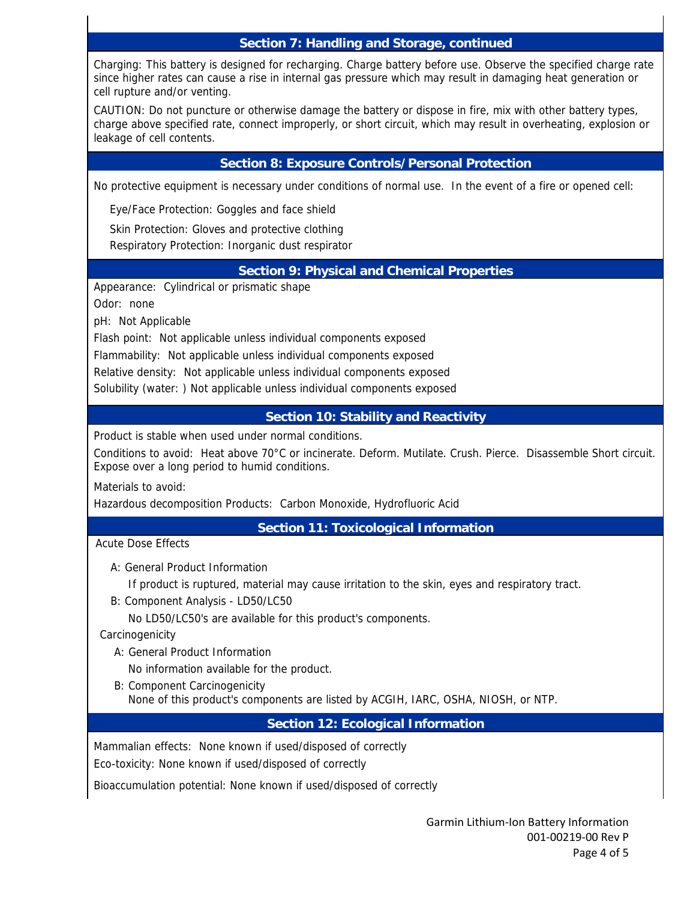## **Section 7: Handling and Storage, continued**

Charging: This battery is designed for recharging. Charge battery before use. Observe the specified charge rate since higher rates can cause a rise in internal gas pressure which may result in damaging heat generation or cell rupture and/or venting.

CAUTION: Do not puncture or otherwise damage the battery or dispose in fire, mix with other battery types, charge above specified rate, connect improperly, or short circuit, which may result in overheating, explosion or leakage of cell contents.

## **Section 8: Exposure Controls/Personal Protection**

No protective equipment is necessary under conditions of normal use. In the event of a fire or opened cell:

Eye/Face Protection: Goggles and face shield

Skin Protection: Gloves and protective clothing

Respiratory Protection: Inorganic dust respirator

#### **Section 9: Physical and Chemical Properties**

Appearance: Cylindrical or prismatic shape

Odor: none

pH: Not Applicable

Flash point: Not applicable unless individual components exposed

Flammability: Not applicable unless individual components exposed

Relative density: Not applicable unless individual components exposed

Solubility (water: ) Not applicable unless individual components exposed

#### **Section 10: Stability and Reactivity**

Product is stable when used under normal conditions.

Conditions to avoid: Heat above 70°C or incinerate. Deform. Mutilate. Crush. Pierce. Disassemble Short circuit. Expose over a long period to humid conditions.

Materials to avoid:

Hazardous decomposition Products: Carbon Monoxide, Hydrofluoric Acid

**Section 11: Toxicological Information** 

#### Acute Dose Effects

A: General Product Information

If product is ruptured, material may cause irritation to the skin, eyes and respiratory tract.

B: Component Analysis - LD50/LC50

No LD50/LC50's are available for this product's components.

**Carcinogenicity** 

A: General Product Information

No information available for the product.

 B: Component Carcinogenicity None of this product's components are listed by ACGIH, IARC, OSHA, NIOSH, or NTP.

# **Section 12: Ecological Information**

Mammalian effects: None known if used/disposed of correctly

Eco-toxicity: None known if used/disposed of correctly

Bioaccumulation potential: None known if used/disposed of correctly